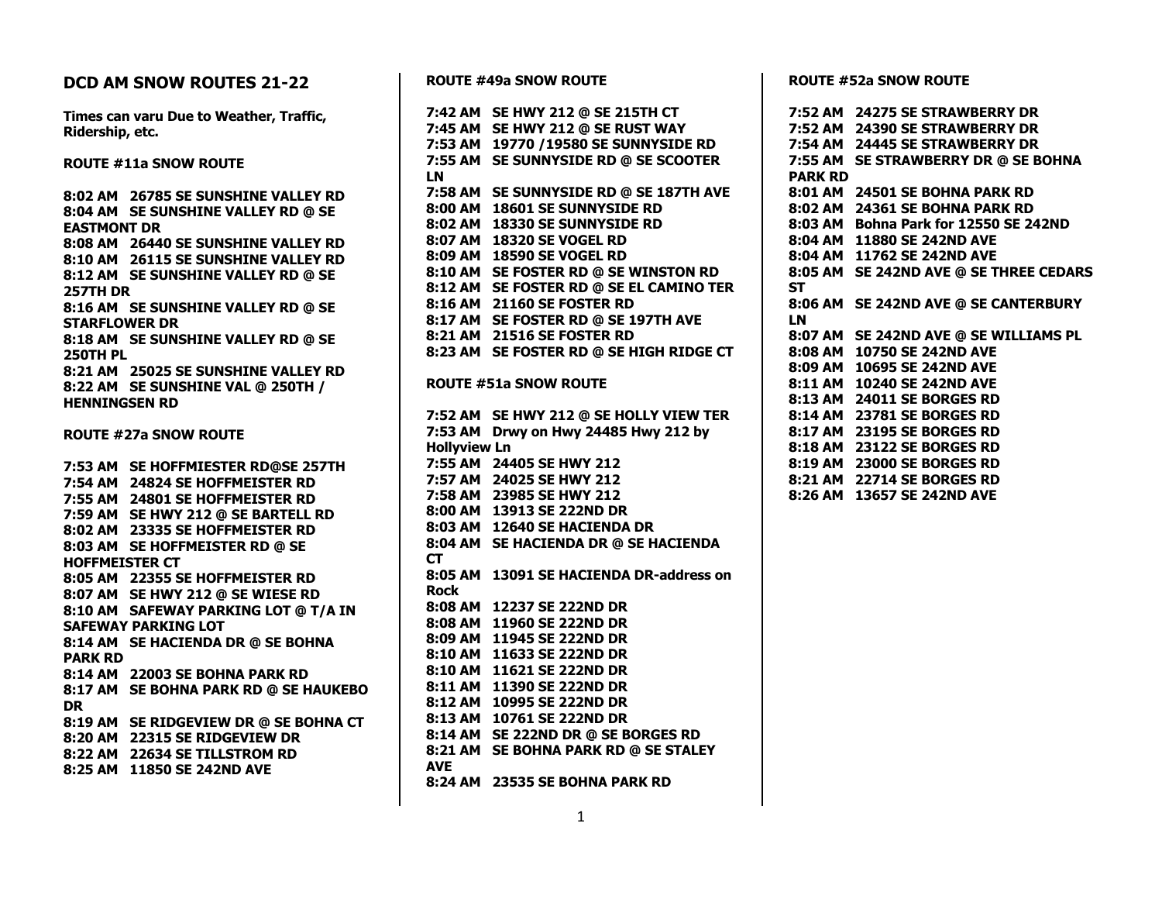## **DCD AM SNOW ROUTES 21-22 Times can varu Due to Weather, Traffic, Ridership, etc. ROUTE #11a SNOW ROUTE 8:02 AM 26785 SE SUNSHINE VALLEY RD 8:04 AM SE SUNSHINE VALLEY RD @ SE EASTMONT DR 8:08 AM 26440 SE SUNSHINE VALLEY RD 8:10 AM 26115 SE SUNSHINE VALLEY RD 8:12 AM SE SUNSHINE VALLEY RD @ SE 257TH DR 8:16 AM SE SUNSHINE VALLEY RD @ SE STARFLOWER DR 8:18 AM SE SUNSHINE VALLEY RD @ SE 250TH PL 8:21 AM 25025 SE SUNSHINE VALLEY RD 8:22 AM SE SUNSHINE VAL @ 250TH / HENNINGSEN RD ROUTE #27a SNOW ROUTE 7:53 AM SE HOFFMIESTER RD@SE 257TH 7:54 AM 24824 SE HOFFMEISTER RD 7:55 AM 24801 SE HOFFMEISTER RD 7:59 AM SE HWY 212 @ SE BARTELL RD 8:02 AM 23335 SE HOFFMEISTER RD 8:03 AM SE HOFFMEISTER RD @ SE HOFFMEISTER CT 8:05 AM 22355 SE HOFFMEISTER RD 8:07 AM SE HWY 212 @ SE WIESE RD 8:10 AM SAFEWAY PARKING LOT @ T/A IN SAFEWAY PARKING LOT 8:14 AM SE HACIENDA DR @ SE BOHNA PARK RD 8:14 AM 22003 SE BOHNA PARK RD 8:17 AM SE BOHNA PARK RD @ SE HAUKEBO DR 8:19 AM SE RIDGEVIEW DR @ SE BOHNA CT 8:20 AM 22315 SE RIDGEVIEW DR 8:22 AM 22634 SE TILLSTROM RD 8:25 AM 11850 SE 242ND AVE**

**ROUTE #49a SNOW ROUTE 7:42 AM SE HWY 212 @ SE 215TH CT 7:45 AM SE HWY 212 @ SE RUST WAY 7:53 AM 19770 /19580 SE SUNNYSIDE RD 7:55 AM SE SUNNYSIDE RD @ SE SCOOTER LN 7:58 AM SE SUNNYSIDE RD @ SE 187TH AVE 8:00 AM 18601 SE SUNNYSIDE RD 8:02 AM 18330 SE SUNNYSIDE RD 8:07 AM 18320 SE VOGEL RD 8:09 AM 18590 SE VOGEL RD 8:10 AM SE FOSTER RD @ SE WINSTON RD 8:12 AM SE FOSTER RD @ SE EL CAMINO TER 8:16 AM 21160 SE FOSTER RD 8:17 AM SE FOSTER RD @ SE 197TH AVE 8:21 AM 21516 SE FOSTER RD 8:23 AM SE FOSTER RD @ SE HIGH RIDGE CT ROUTE #51a SNOW ROUTE 7:52 AM SE HWY 212 @ SE HOLLY VIEW TER 7:53 AM Drwy on Hwy 24485 Hwy 212 by Hollyview Ln 7:55 AM 24405 SE HWY 212 7:57 AM 24025 SE HWY 212 7:58 AM 23985 SE HWY 212 8:00 AM 13913 SE 222ND DR 8:03 AM 12640 SE HACIENDA DR 8:04 AM SE HACIENDA DR @ SE HACIENDA CT 8:05 AM 13091 SE HACIENDA DR-address on Rock 8:08 AM 12237 SE 222ND DR 8:08 AM 11960 SE 222ND DR 8:09 AM 11945 SE 222ND DR 8:10 AM 11633 SE 222ND DR 8:10 AM 11621 SE 222ND DR 8:11 AM 11390 SE 222ND DR 8:12 AM 10995 SE 222ND DR 8:13 AM 10761 SE 222ND DR 8:14 AM SE 222ND DR @ SE BORGES RD 8:21 AM SE BOHNA PARK RD @ SE STALEY AVE 8:24 AM 23535 SE BOHNA PARK RD**

**ROUTE #52a SNOW ROUTE**

**7:52 AM 24275 SE STRAWBERRY DR 7:52 AM 24390 SE STRAWBERRY DR 7:54 AM 24445 SE STRAWBERRY DR 7:55 AM SE STRAWBERRY DR @ SE BOHNA PARK RD 8:01 AM 24501 SE BOHNA PARK RD 8:02 AM 24361 SE BOHNA PARK RD 8:03 AM Bohna Park for 12550 SE 242ND 8:04 AM 11880 SE 242ND AVE 8:04 AM 11762 SE 242ND AVE 8:05 AM SE 242ND AVE @ SE THREE CEDARS ST 8:06 AM SE 242ND AVE @ SE CANTERBURY LN 8:07 AM SE 242ND AVE @ SE WILLIAMS PL 8:08 AM 10750 SE 242ND AVE 8:09 AM 10695 SE 242ND AVE 8:11 AM 10240 SE 242ND AVE 8:13 AM 24011 SE BORGES RD 8:14 AM 23781 SE BORGES RD 8:17 AM 23195 SE BORGES RD 8:18 AM 23122 SE BORGES RD 8:19 AM 23000 SE BORGES RD 8:21 AM 22714 SE BORGES RD 8:26 AM 13657 SE 242ND AVE**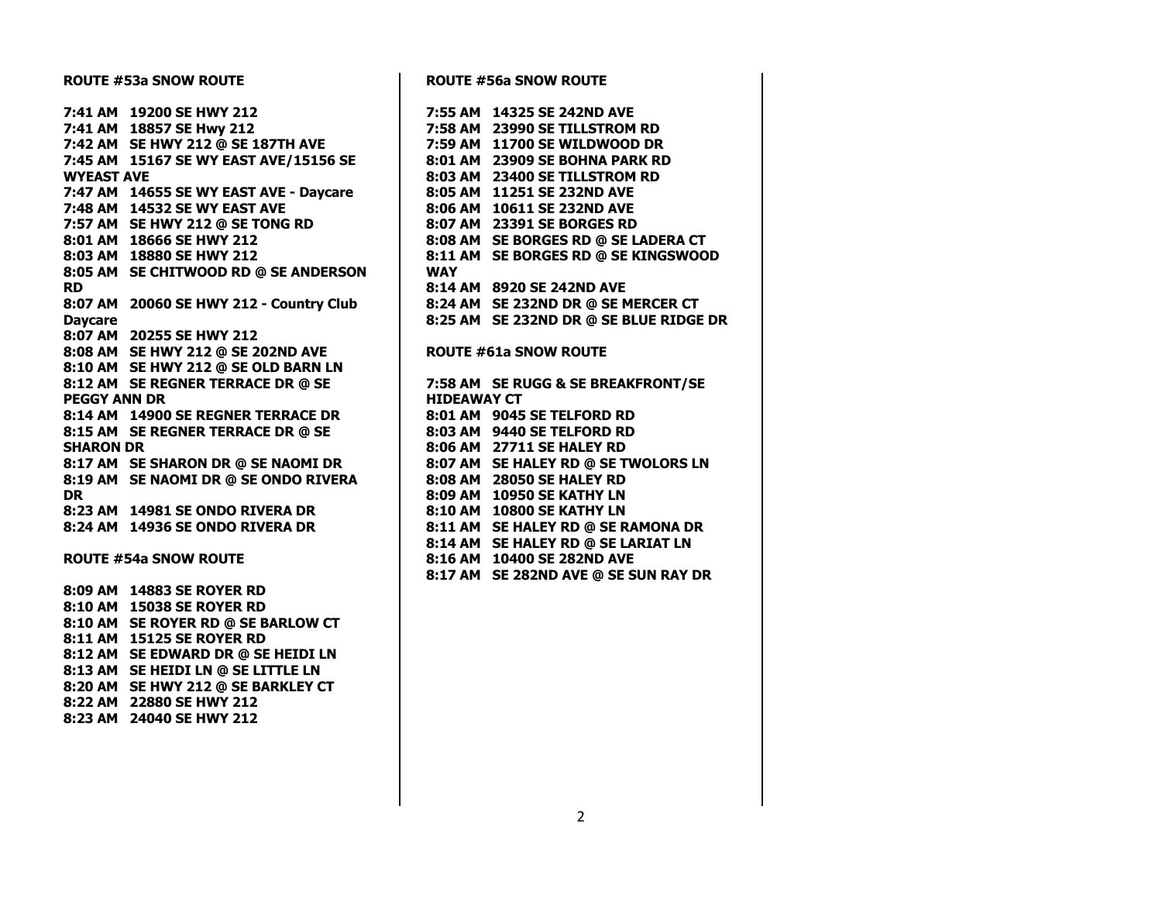| <b>ROUTE #53a SNOW ROUTE</b> |                                                                                         | <b>ROUTE #56a SNOW ROUTE</b> |                                 |  |
|------------------------------|-----------------------------------------------------------------------------------------|------------------------------|---------------------------------|--|
|                              | 7:41 AM 19200 SE HWY 212                                                                |                              | 7:55 AM 14325 SE 242ND AVE      |  |
|                              | 7:41 AM 18857 SE Hwy 212<br>7:42 AM SE HWY 212 @ SE 187TH AVE                           |                              | 7:58 AM 23990 SE TILLSTROM RD   |  |
|                              |                                                                                         |                              | 7:59 AM 11700 SE WILDWOOD DR    |  |
|                              | 7:45 AM 15167 SE WY EAST AVE/15156 SE                                                   |                              | 8:01 AM 23909 SE BOHNA PARK RI  |  |
| <b>WYEAST AVE</b>            |                                                                                         |                              | 8:03 AM 23400 SE TILLSTROM RD   |  |
|                              | 7:47 AM 14655 SE WY EAST AVE - Daycare                                                  |                              | 8:05 AM 11251 SE 232ND AVE      |  |
|                              | 7:48 AM 14532 SE WY EAST AVE                                                            |                              | 8:06 AM 10611 SE 232ND AVE      |  |
|                              | 7:57 AM SE HWY 212 @ SE TONG RD<br>8:01 AM 18666 SE HWY 212<br>8:03 AM 18880 SE HWY 212 |                              | 8:07 AM 23391 SE BORGES RD      |  |
|                              |                                                                                         |                              | 8:08 AM SE BORGES RD @ SE LADE  |  |
|                              | 8:03 AM 18880 SE HWY 212                                                                |                              | 8:11 AM SE BORGES RD @ SE KING  |  |
|                              | 8:05 AM SE CHITWOOD RD @ SE ANDERSON                                                    | <b>WAY</b>                   |                                 |  |
| <b>RD</b>                    |                                                                                         |                              | 8:14 AM 8920 SE 242ND AVE       |  |
|                              | 8:07 AM 20060 SE HWY 212 - Country Club                                                 |                              | 8:24 AM SE 232ND DR @ SE MERCI  |  |
| <b>Daycare</b>               |                                                                                         |                              | 8:25 AM SE 232ND DR @ SE BLUE I |  |
|                              | 8:07 AM 20255 SE HWY 212                                                                |                              |                                 |  |
|                              | 8:08 AM SE HWY 212 @ SE 202ND AVE                                                       |                              | <b>ROUTE #61a SNOW ROUTE</b>    |  |
|                              | 8:10 AM SE HWY 212 @ SE OLD BARN LN                                                     |                              |                                 |  |
|                              | 8:12 AM SE REGNER TERRACE DR @ SE                                                       |                              | 7:58 AM SE RUGG & SE BREAKFRO   |  |
| <b>PEGGY ANN DR</b>          |                                                                                         | <b>HIDEAWAY CT</b>           |                                 |  |
|                              | 8:14 AM 14900 SE REGNER TERRACE DR                                                      |                              | 8:01 AM 9045 SE TELFORD RD      |  |
|                              | 8:15 AM SE REGNER TERRACE DR @ SE                                                       |                              | 8:03 AM 9440 SE TELFORD RD      |  |
| <b>SHARON DR</b>             |                                                                                         |                              | 8:06 AM 27711 SE HALEY RD       |  |
|                              | 8:17 AM SE SHARON DR @ SE NAOMI DR                                                      |                              | 8:07 AM SE HALEY RD @ SE TWOL   |  |
|                              | 8:19 AM SE NAOMI DR @ SE ONDO RIVERA                                                    |                              | 8:08 AM 28050 SE HALEY RD       |  |
| <b>DR</b>                    |                                                                                         |                              | 8:09 AM 10950 SE KATHY LN       |  |
|                              | 8:23 AM 14981 SE ONDO RIVERA DR                                                         |                              | 8:10 AM 10800 SE KATHY LN       |  |
|                              | 8:24 AM 14936 SE ONDO RIVERA DR                                                         |                              | 8:11 AM SE HALEY RD @ SE RAMO   |  |
|                              |                                                                                         |                              | 8:14 AM SE HALEY RD @ SE LARIA  |  |
|                              | <b>ROUTE #54a SNOW ROUTE</b>                                                            |                              | 8:16 AM 10400 SE 282ND AVE      |  |
|                              |                                                                                         |                              | 8:17 AM SE 282ND AVE @ SE SUN I |  |
|                              | 8:09 AM 14883 SE ROYER RD                                                               |                              |                                 |  |
|                              | 8:10 AM 15038 SE ROYER RD                                                               |                              |                                 |  |
|                              | 8:10 AM SE ROYER RD @ SE BARLOW CT                                                      |                              |                                 |  |
|                              | 8:11 AM 15125 SE ROYER RD                                                               |                              |                                 |  |
|                              | 8:12 AM SE EDWARD DR @ SE HEIDI LN                                                      |                              |                                 |  |
|                              | 8:13 AM SE HEIDI LN @ SE LITTLE LN                                                      |                              |                                 |  |
|                              | 8:20 AM SE HWY 212 @ SE BARKLEY CT                                                      |                              |                                 |  |
|                              | 8:22 AM 22880 SE HWY 212                                                                |                              |                                 |  |
|                              | 8:23 AM 24040 SE HWY 212                                                                |                              |                                 |  |
|                              |                                                                                         |                              |                                 |  |

 $\mathbf{r}$ 

**K RD<br>RD 8:03 AM 23400 SE TILLSTROM RD 8:08 AM SE BORGES RD @ SE LADERA CT 8:11 AM SE BORGES RD @ SE KINGSWOOD 8:24 AM SE 232ND DR @ SE MERCER CT 8:25 AM SE 232ND DR @ SE BLUE RIDGE DR**  $P:RONT/SE$ **8 8 81AT LN JN RAY DR**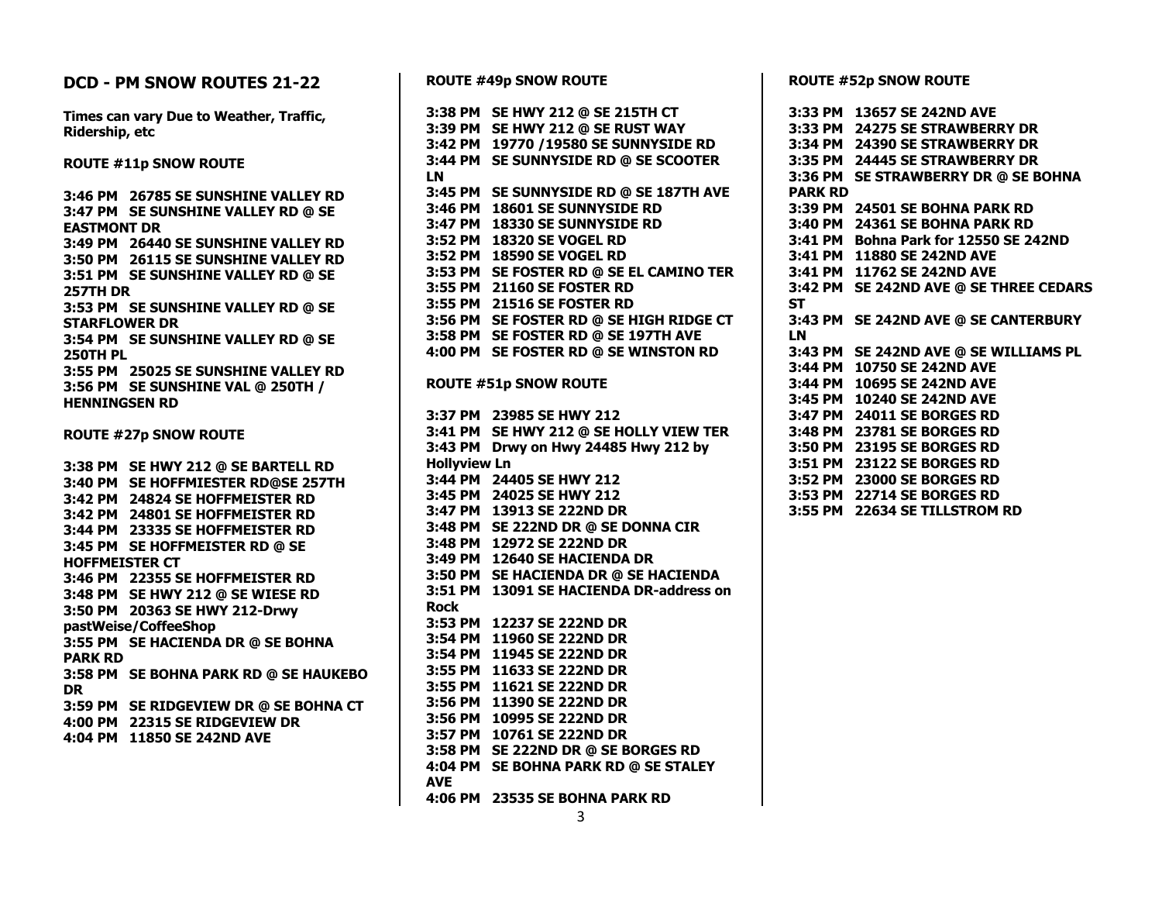## **DCD - PM SNOW ROUTES 21-22**

**Times can vary Due to Weather, Traffic, Ridership, etc**

**ROUTE #11p SNOW ROUTE**

**3:46 PM 26785 SE SUNSHINE VALLEY RD 3:47 PM SE SUNSHINE VALLEY RD @ SE EASTMONT DR 3:49 PM 26440 SE SUNSHINE VALLEY RD 3:50 PM 26115 SE SUNSHINE VALLEY RD 3:51 PM SE SUNSHINE VALLEY RD @ SE 257TH DR 3:53 PM SE SUNSHINE VALLEY RD @ SE STARFLOWER DR 3:54 PM SE SUNSHINE VALLEY RD @ SE 250TH PL 3:55 PM 25025 SE SUNSHINE VALLEY RD 3:56 PM SE SUNSHINE VAL @ 250TH / HENNINGSEN RD**

**ROUTE #27p SNOW ROUTE**

**3:38 PM SE HWY 212 @ SE BARTELL RD 3:40 PM SE HOFFMIESTER RD@SE 257TH 3:42 PM 24824 SE HOFFMEISTER RD 3:42 PM 24801 SE HOFFMEISTER RD 3:44 PM 23335 SE HOFFMEISTER RD 3:45 PM SE HOFFMEISTER RD @ SE HOFFMEISTER CT 3:46 PM 22355 SE HOFFMEISTER RD 3:48 PM SE HWY 212 @ SE WIESE RD 3:50 PM 20363 SE HWY 212-Drwy pastWeise/CoffeeShop 3:55 PM SE HACIENDA DR @ SE BOHNA PARK RD 3:58 PM SE BOHNA PARK RD @ SE HAUKEBO DR 3:59 PM SE RIDGEVIEW DR @ SE BOHNA CT 4:00 PM 22315 SE RIDGEVIEW DR 4:04 PM 11850 SE 242ND AVE**

**ROUTE #49p SNOW ROUTE 3:38 PM SE HWY 212 @ SE 215TH CT 3:39 PM SE HWY 212 @ SE RUST WAY 3:42 PM 19770 /19580 SE SUNNYSIDE RD 3:44 PM SE SUNNYSIDE RD @ SE SCOOTER LN 3:45 PM SE SUNNYSIDE RD @ SE 187TH AVE 3:46 PM 18601 SE SUNNYSIDE RD 3:47 PM 18330 SE SUNNYSIDE RD 3:52 PM 18320 SE VOGEL RD 3:52 PM 18590 SE VOGEL RD 3:53 PM SE FOSTER RD @ SE EL CAMINO TER 3:55 PM 21160 SE FOSTER RD 3:55 PM 21516 SE FOSTER RD 3:56 PM SE FOSTER RD @ SE HIGH RIDGE CT 3:58 PM SE FOSTER RD @ SE 197TH AVE 4:00 PM SE FOSTER RD @ SE WINSTON RD ROUTE #51p SNOW ROUTE 3:37 PM 23985 SE HWY 212 3:41 PM SE HWY 212 @ SE HOLLY VIEW TER 3:43 PM Drwy on Hwy 24485 Hwy 212 by Hollyview Ln 3:44 PM 24405 SE HWY 212 3:45 PM 24025 SE HWY 212 3:47 PM 13913 SE 222ND DR 3:48 PM SE 222ND DR @ SE DONNA CIR 3:48 PM 12972 SE 222ND DR 3:49 PM 12640 SE HACIENDA DR 3:50 PM SE HACIENDA DR @ SE HACIENDA 3:51 PM 13091 SE HACIENDA DR-address on Rock 3:53 PM 12237 SE 222ND DR 3:54 PM 11960 SE 222ND DR 3:54 PM 11945 SE 222ND DR 3:55 PM 11633 SE 222ND DR 3:55 PM 11621 SE 222ND DR 3:56 PM 11390 SE 222ND DR 3:56 PM 10995 SE 222ND DR 3:57 PM 10761 SE 222ND DR 3:58 PM SE 222ND DR @ SE BORGES RD 4:04 PM SE BOHNA PARK RD @ SE STALEY AVE 4:06 PM 23535 SE BOHNA PARK RD**

**ROUTE #52p SNOW ROUTE**

```
3:33 PM 13657 SE 242ND AVE
3:33 PM 24275 SE STRAWBERRY DR
3:34 PM 24390 SE STRAWBERRY DR
3:35 PM 24445 SE STRAWBERRY DR
3:36 PM SE STRAWBERRY DR @ SE BOHNA 
PARK RD
3:39 PM 24501 SE BOHNA PARK RD
3:40 PM 24361 SE BOHNA PARK RD
3:41 PM Bohna Park for 12550 SE 242ND
3:41 PM 11880 SE 242ND AVE
3:41 PM 11762 SE 242ND AVE
3:42 PM SE 242ND AVE @ SE THREE CEDARS 
ST
3:43 PM SE 242ND AVE @ SE CANTERBURY 
LN
3:43 PM SE 242ND AVE @ SE WILLIAMS PL
3:44 PM 10750 SE 242ND AVE
3:44 PM 10695 SE 242ND AVE
3:45 PM 10240 SE 242ND AVE
3:47 PM 24011 SE BORGES RD
3:48 PM 23781 SE BORGES RD
3:50 PM 23195 SE BORGES RD
3:51 PM 23122 SE BORGES RD
3:52 PM 23000 SE BORGES RD
3:53 PM 22714 SE BORGES RD
3:55 PM 22634 SE TILLSTROM RD
```